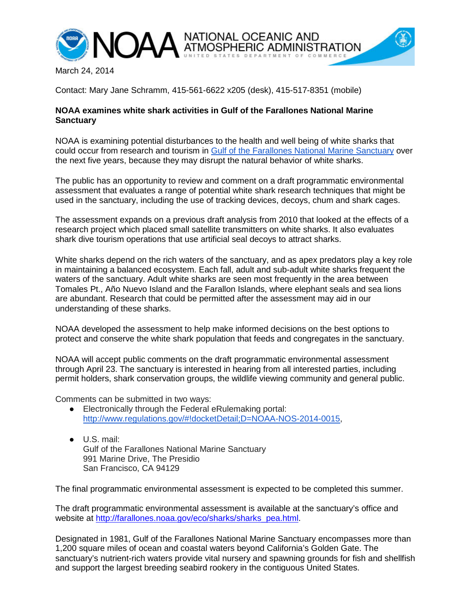

March 24, 2014

Contact: Mary Jane Schramm, 415-561-6622 x205 (desk), 415-517-8351 (mobile)

## **NOAA examines white shark activities in Gulf of the Farallones National Marine Sanctuary**

NOAA is examining potential disturbances to the health and well being of white sharks that could occur from research and tourism in [Gulf of the Farallones National Marine Sanctuary](http://farallones.noaa.gov/) over the next five years, because they may disrupt the natural behavior of white sharks.

The public has an opportunity to review and comment on a draft programmatic environmental assessment that evaluates a range of potential white shark research techniques that might be used in the sanctuary, including the use of tracking devices, decoys, chum and shark cages.

The assessment expands on a previous draft analysis from 2010 that looked at the effects of a research project which placed small satellite transmitters on white sharks. It also evaluates shark dive tourism operations that use artificial seal decoys to attract sharks.

White sharks depend on the rich waters of the sanctuary, and as apex predators play a key role in maintaining a balanced ecosystem. Each fall, adult and sub-adult white sharks frequent the waters of the sanctuary. Adult white sharks are seen most frequently in the area between Tomales Pt., Año Nuevo Island and the Farallon Islands, where elephant seals and sea lions are abundant. Research that could be permitted after the assessment may aid in our understanding of these sharks.

NOAA developed the assessment to help make informed decisions on the best options to protect and conserve the white shark population that feeds and congregates in the sanctuary.

NOAA will accept public comments on the draft programmatic environmental assessment through April 23. The sanctuary is interested in hearing from all interested parties, including permit holders, shark conservation groups, the wildlife viewing community and general public.

Comments can be submitted in two ways:

- Electronically through the Federal eRulemaking portal: [http://www.regulations.gov/#!docketDetail;D=NOAA-NOS-2014-0015,](http://www.regulations.gov/%23!docketDetail;D=NOAA-NOS-2014-0015)
- U.S. mail: Gulf of the Farallones National Marine Sanctuary 991 Marine Drive, The Presidio San Francisco, CA 94129

The final programmatic environmental assessment is expected to be completed this summer.

The draft programmatic environmental assessment is available at the sanctuary's office and website at [http://farallones.noaa.gov/eco/sharks/sharks\\_pea.html.](http://farallones.noaa.gov/eco/sharks/sharks_pea.html)

Designated in 1981, Gulf of the Farallones National Marine Sanctuary encompasses more than 1,200 square miles of ocean and coastal waters beyond California's Golden Gate. The sanctuary's nutrient-rich waters provide vital nursery and spawning grounds for fish and shellfish and support the largest breeding seabird rookery in the contiguous United States.